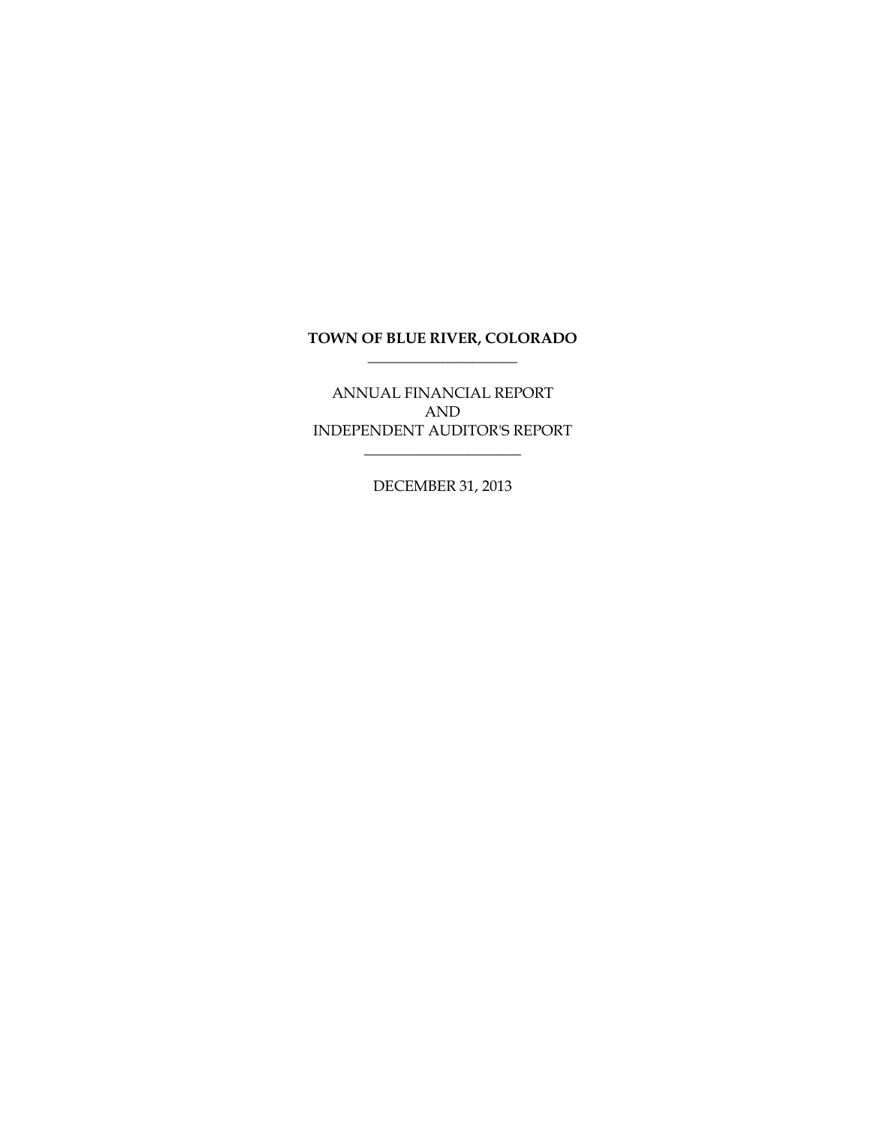# **TOWN OF BLUE RIVER, COLORADO \_\_\_\_\_\_\_\_\_\_\_\_\_\_\_\_\_\_\_\_**

ANNUAL FINANCIAL REPORT AND INDEPENDENT AUDITOR'S REPORT

\_\_\_\_\_\_\_\_\_\_\_\_\_\_\_\_\_\_\_\_\_

DECEMBER 31, 2013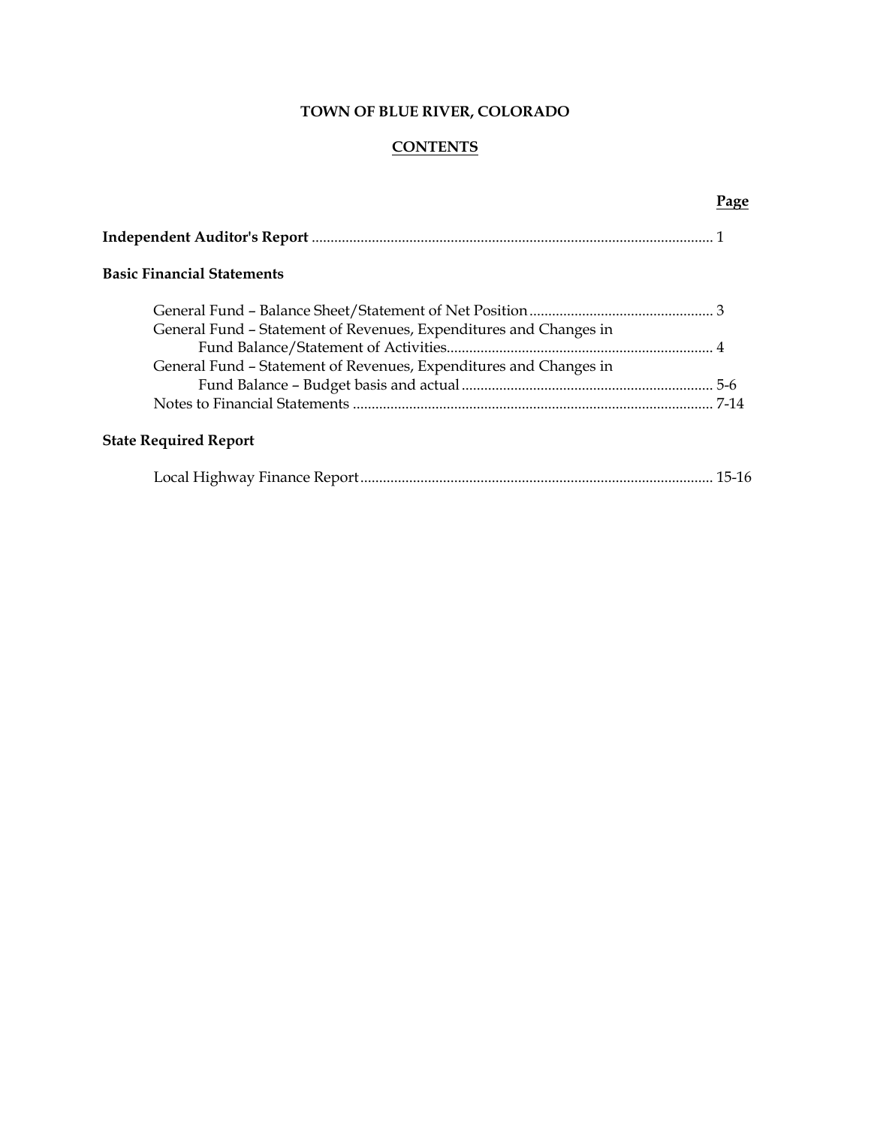#### **CONTENTS**

# **Independent Auditor's Report** ........................................................................................................... 1 **Basic Financial Statements** General Fund – Balance Sheet/Statement of Net Position................................................. 3 General Fund – Statement of Revenues, Expenditures and Changes in Fund Balance/Statement of Activities....................................................................... 4 General Fund – Statement of Revenues, Expenditures and Changes in Fund Balance – Budget basis and actual................................................................... 5-6 Notes to Financial Statements ................................................................................................ 7-14 **State Required Report**

|--|--|--|

# **Page**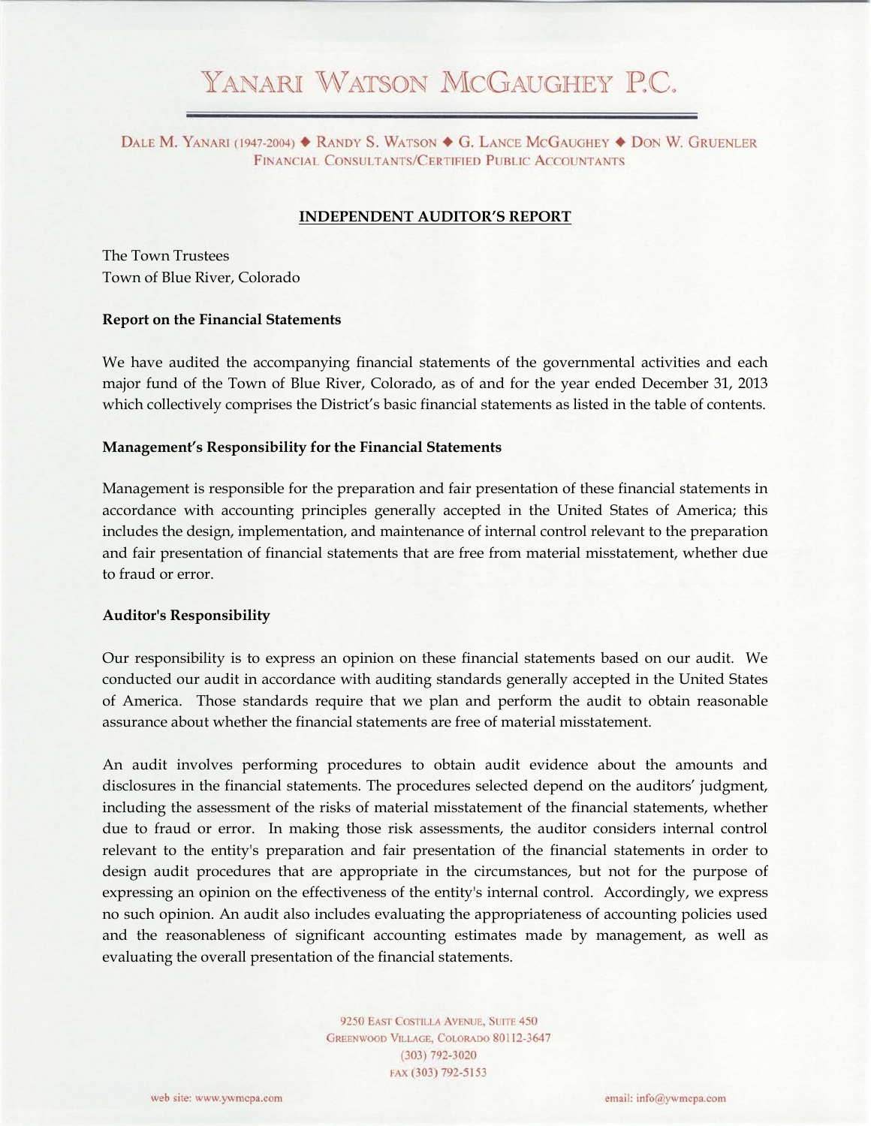# YANARI WATSON MCGAUGHEY P.C.

DALE M. YANARI (1947-2004) ♦ RANDY S. WATSON ♦ G. LANCE MCGAUGHEY ♦ DON W. GRUENLER FINANCIAL CONSULTANTS/CERTIFIED PUBLIC ACCOUNTANTS

#### **INDEPENDENT AUDITOR'S REPORT**

The Town Trustees Town of Blue River, Colorado

#### **Report on the Financial Statements**

We have audited the accompanying financial statements of the governmental activities and each major fund of the Town of Blue River, Colorado, as of and for the year ended December 31, 2013 which collectively comprises the District's basic financial statements as listed in the table of contents.

#### **Management's Responsibility for the Financial Statements**

Management is responsible for the preparation and fair presentation of these financial statements in accordance with accounting principles generally accepted in the United States of America; this includes the design, implementation, and maintenance of internal control relevant to the preparation and fair presentation of financial statements that are free from material misstatement, whether due to fraud or error.

#### **Auditor's Responsibility**

Our responsibility is to express an opinion on these financial statements based on our audit. We conducted our audit in accordance with auditing standards generally accepted in the United States of America. Those standards require that we plan and perform the audit to obtain reasonable assurance about whether the financial statements are free of material misstatement.

An audit involves performing procedures to obtain audit evidence about the amounts and disclosures in the financial statements. The procedures selected depend on the auditors' judgment, including the assessment of the risks of material misstatement of the financial statements, whether due to fraud or error. In making those risk assessments, the auditor considers internal control relevant to the entity's preparation and fair presentation of the financial statements in order to design audit procedures that are appropriate in the circumstances, but not for the purpose of expressing an opinion on the effectiveness of the entity's internal control. Accordingly, we express no such opinion. An audit also includes evaluating the appropriateness of accounting policies used and the reasonableness of significant accounting estimates made by management, as well as evaluating the overall presentation of the financial statements.

> 9250 EAST COSTILLA AVENUE, SUITE 450 GREENWOOD VILLAGE, COLORADO 80112-3647  $(303)$  792-3020 FAX (303) 792-5153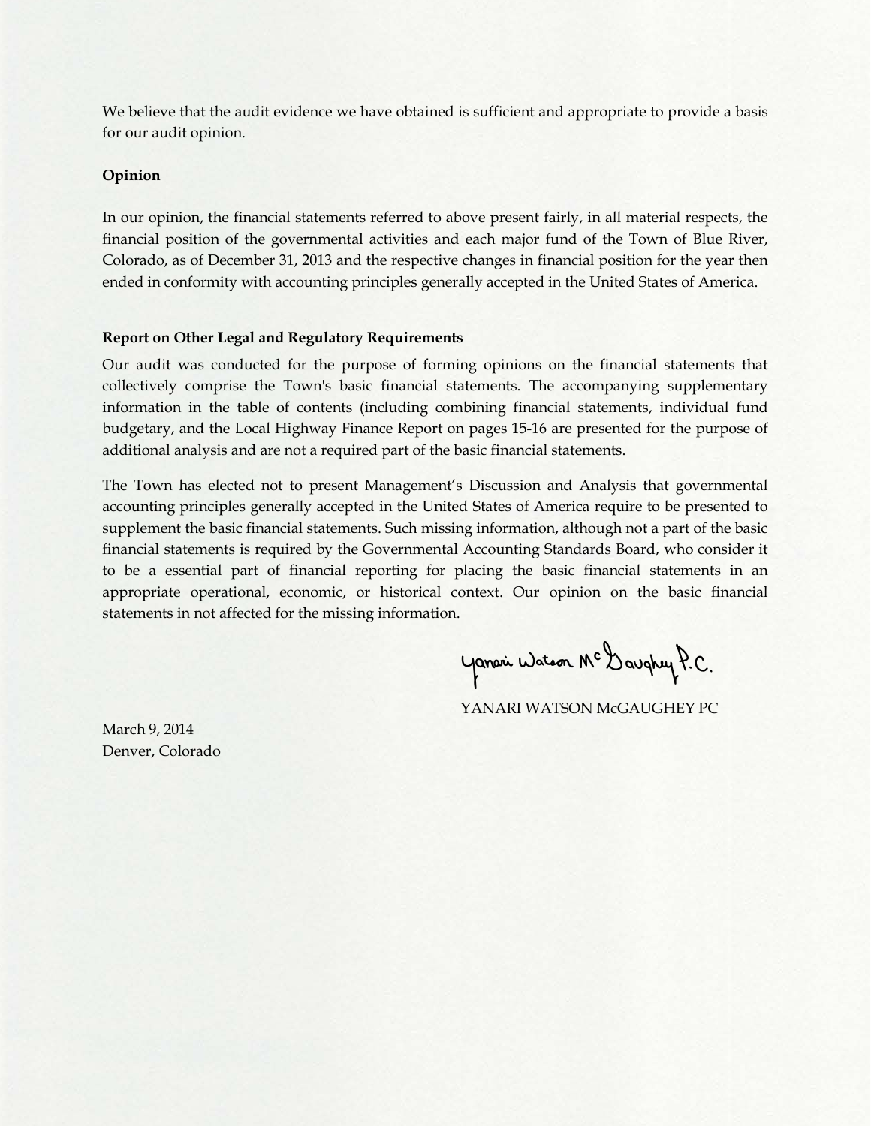We believe that the audit evidence we have obtained is sufficient and appropriate to provide a basis for our audit opinion.

# **Opinion**

In our opinion, the financial statements referred to above present fairly, in all material respects, the financial position of the governmental activities and each major fund of the Town of Blue River, Colorado, as of December 31, 2013 and the respective changes in financial position for the year then ended in conformity with accounting principles generally accepted in the United States of America.

# **Report on Other Legal and Regulatory Requirements**

Our audit was conducted for the purpose of forming opinions on the financial statements that collectively comprise the Town's basic financial statements. The accompanying supplementary information in the table of contents (including combining financial statements, individual fund budgetary, and the Local Highway Finance Report on pages 15-16 are presented for the purpose of additional analysis and are not a required part of the basic financial statements.

The Town has elected not to present Management's Discussion and Analysis that governmental accounting principles generally accepted in the United States of America require to be presented to supplement the basic financial statements. Such missing information, although not a part of the basic financial statements is required by the Governmental Accounting Standards Board, who consider it to be a essential part of financial reporting for placing the basic financial statements in an appropriate operational, economic, or historical context. Our opinion on the basic financial statements in not affected for the missing information.

Yanari Watson Mc Daughey P.C.

YANARI WATSON McGAUGHEY PC

March 9, 2014 Denver, Colorado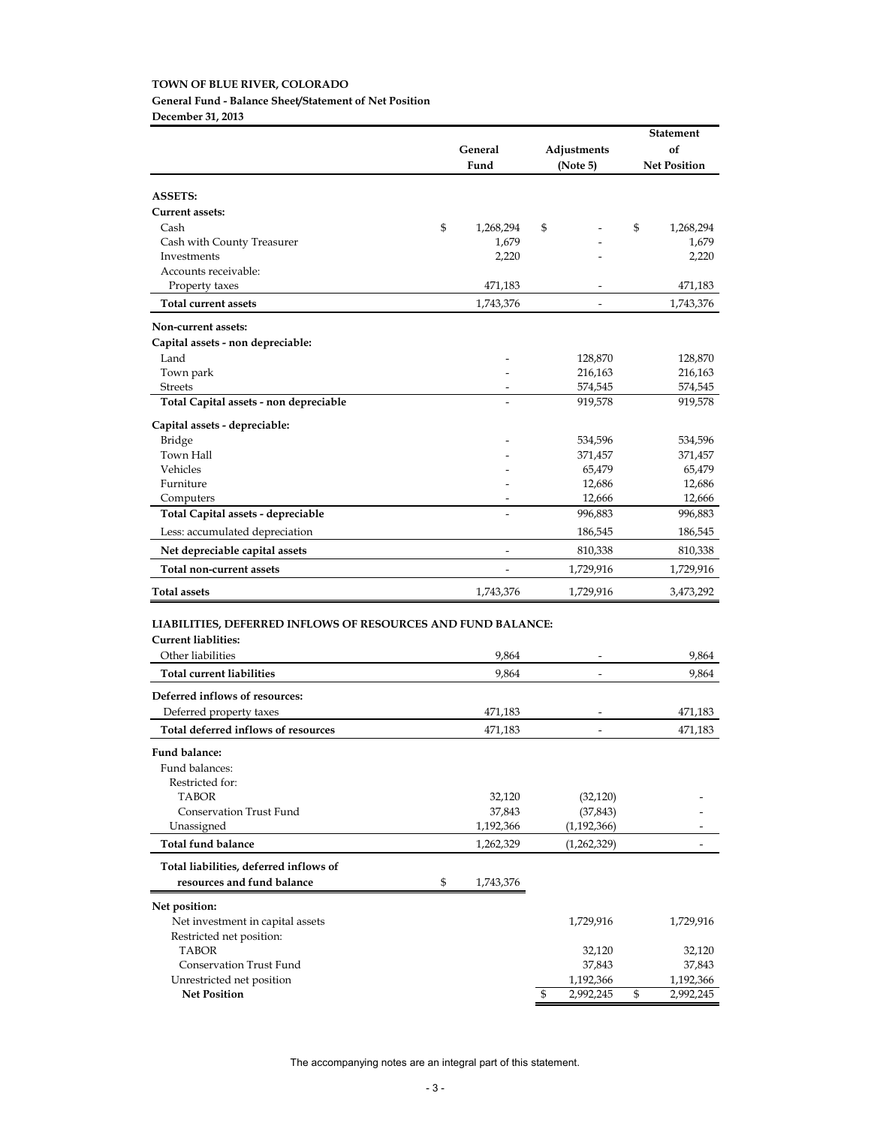# **TOWN OF BLUE RIVER, COLORADO General Fund - Balance Sheet/Statement of Net Position**

**December 31, 2013**

|                                                              |                          |    |               | <b>Statement</b> |                     |
|--------------------------------------------------------------|--------------------------|----|---------------|------------------|---------------------|
|                                                              | General                  |    | Adjustments   |                  | of                  |
|                                                              | Fund                     |    | (Note 5)      |                  | <b>Net Position</b> |
|                                                              |                          |    |               |                  |                     |
| <b>ASSETS:</b>                                               |                          |    |               |                  |                     |
| <b>Current assets:</b>                                       |                          |    |               |                  |                     |
| Cash                                                         | \$<br>1,268,294          | \$ |               | \$               | 1,268,294           |
| Cash with County Treasurer                                   | 1,679                    |    |               |                  | 1,679               |
| Investments                                                  | 2,220                    |    |               |                  | 2,220               |
| Accounts receivable:                                         |                          |    |               |                  |                     |
| Property taxes                                               | 471,183                  |    |               |                  | 471,183             |
| <b>Total current assets</b>                                  | 1,743,376                |    |               |                  | 1,743,376           |
|                                                              |                          |    |               |                  |                     |
| Non-current assets:                                          |                          |    |               |                  |                     |
| Capital assets - non depreciable:                            |                          |    |               |                  |                     |
| Land                                                         |                          |    | 128,870       |                  | 128,870             |
| Town park                                                    |                          |    | 216,163       |                  | 216,163             |
| <b>Streets</b>                                               |                          |    | 574,545       |                  | 574,545             |
| Total Capital assets - non depreciable                       | $\overline{\phantom{0}}$ |    | 919,578       |                  | 919,578             |
| Capital assets - depreciable:                                |                          |    |               |                  |                     |
| Bridge                                                       |                          |    | 534,596       |                  | 534,596             |
| Town Hall                                                    |                          |    | 371,457       |                  | 371,457             |
| Vehicles                                                     |                          |    | 65,479        |                  | 65,479              |
| Furniture                                                    |                          |    | 12,686        |                  | 12,686              |
| Computers                                                    |                          |    | 12,666        |                  | 12,666              |
| Total Capital assets - depreciable                           |                          |    | 996,883       |                  | 996,883             |
| Less: accumulated depreciation                               |                          |    | 186,545       |                  | 186,545             |
| Net depreciable capital assets                               |                          |    | 810,338       |                  | 810,338             |
| Total non-current assets                                     |                          |    | 1,729,916     |                  | 1,729,916           |
| <b>Total assets</b>                                          | 1,743,376                |    | 1,729,916     |                  | 3,473,292           |
|                                                              |                          |    |               |                  |                     |
| LIABILITIES, DEFERRED INFLOWS OF RESOURCES AND FUND BALANCE: |                          |    |               |                  |                     |
| <b>Current liablities:</b>                                   |                          |    |               |                  |                     |
| Other liabilities                                            | 9,864                    |    |               |                  | 9,864               |
| <b>Total current liabilities</b>                             | 9,864                    |    |               |                  | 9,864               |
| Deferred inflows of resources:                               |                          |    |               |                  |                     |
| Deferred property taxes                                      | 471,183                  |    |               |                  | 471,183             |
|                                                              |                          |    |               |                  |                     |
| Total deferred inflows of resources                          | 471,183                  |    |               |                  | 471,183             |
| Fund balance:                                                |                          |    |               |                  |                     |
| Fund balances:                                               |                          |    |               |                  |                     |
| Restricted for:                                              |                          |    |               |                  |                     |
| <b>TABOR</b>                                                 | 32,120                   |    | (32, 120)     |                  |                     |
| <b>Conservation Trust Fund</b>                               | 37,843                   |    | (37, 843)     |                  |                     |
| Unassigned                                                   | 1,192,366                |    | (1, 192, 366) |                  |                     |
| <b>Total fund balance</b>                                    | 1,262,329                |    | (1,262,329)   |                  |                     |
| Total liabilities, deferred inflows of                       |                          |    |               |                  |                     |
| resources and fund balance                                   | \$<br>1,743,376          |    |               |                  |                     |
|                                                              |                          |    |               |                  |                     |
| Net position:                                                |                          |    |               |                  |                     |
| Net investment in capital assets                             |                          |    | 1,729,916     |                  | 1,729,916           |
| Restricted net position:<br><b>TABOR</b>                     |                          |    |               |                  |                     |
| <b>Conservation Trust Fund</b>                               |                          |    | 32,120        |                  | 32,120              |
|                                                              |                          |    | 37,843        |                  | 37,843              |
| Unrestricted net position                                    |                          |    | 1,192,366     |                  | 1,192,366           |
| <b>Net Position</b>                                          |                          | \$ | 2,992,245     | \$               | 2,992,245           |

The accompanying notes are an integral part of this statement.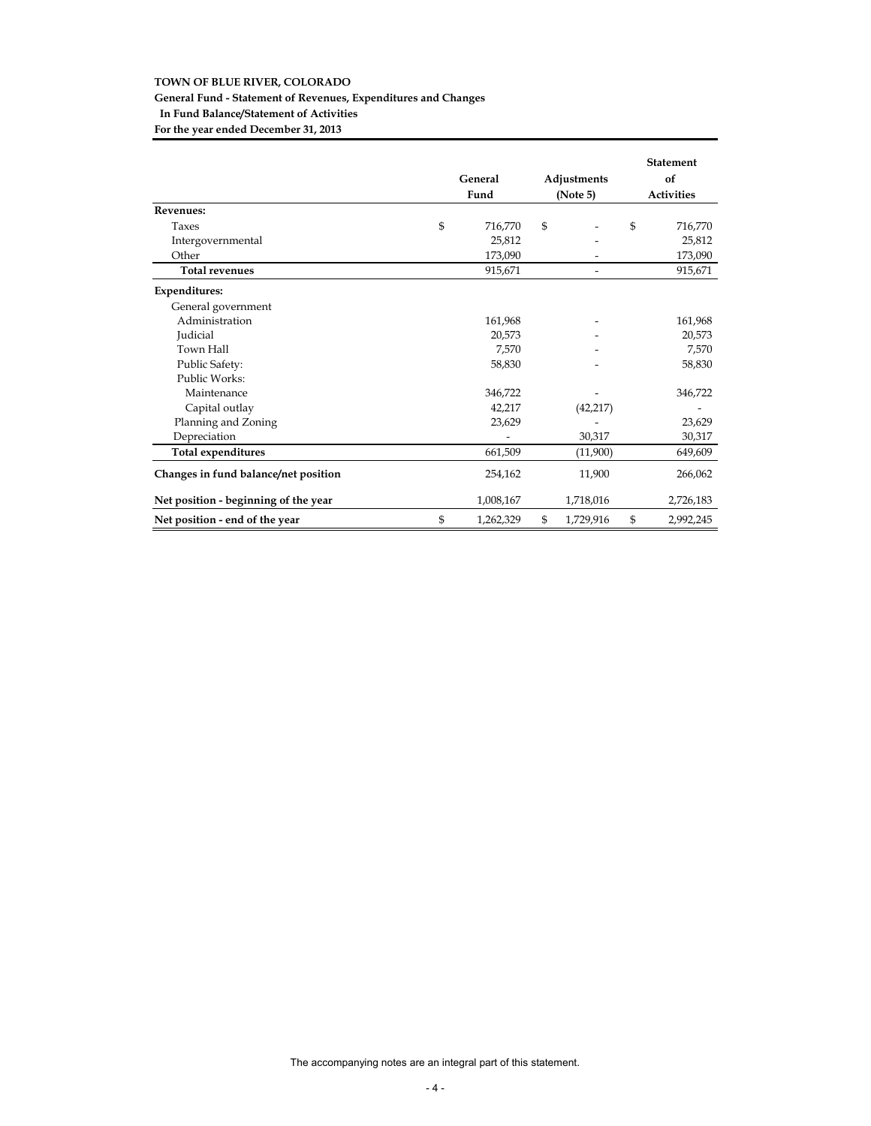# **General Fund - Statement of Revenues, Expenditures and Changes In Fund Balance/Statement of Activities**

**For the year ended December 31, 2013**

|                                      | General<br>Fund | Adjustments<br>(Note 5)  | <b>Statement</b><br>of<br><b>Activities</b> |
|--------------------------------------|-----------------|--------------------------|---------------------------------------------|
| <b>Revenues:</b>                     |                 |                          |                                             |
| Taxes                                | \$<br>716,770   | \$                       | \$<br>716,770                               |
| Intergovernmental                    | 25,812          |                          | 25,812                                      |
| Other                                | 173,090         |                          | 173,090                                     |
| <b>Total revenues</b>                | 915,671         | $\overline{\phantom{a}}$ | 915,671                                     |
| <b>Expenditures:</b>                 |                 |                          |                                             |
| General government                   |                 |                          |                                             |
| Administration                       | 161,968         |                          | 161,968                                     |
| Judicial                             | 20,573          |                          | 20,573                                      |
| Town Hall                            | 7,570           |                          | 7,570                                       |
| Public Safety:                       | 58,830          |                          | 58,830                                      |
| Public Works:                        |                 |                          |                                             |
| Maintenance                          | 346,722         |                          | 346,722                                     |
| Capital outlay                       | 42,217          | (42, 217)                |                                             |
| Planning and Zoning                  | 23,629          |                          | 23,629                                      |
| Depreciation                         |                 | 30,317                   | 30,317                                      |
| <b>Total expenditures</b>            | 661,509         | (11,900)                 | 649,609                                     |
| Changes in fund balance/net position | 254,162         | 11,900                   | 266,062                                     |
| Net position - beginning of the year | 1,008,167       | 1,718,016                | 2,726,183                                   |
| Net position - end of the year       | \$<br>1,262,329 | \$<br>1,729,916          | \$<br>2,992,245                             |

The accompanying notes are an integral part of this statement.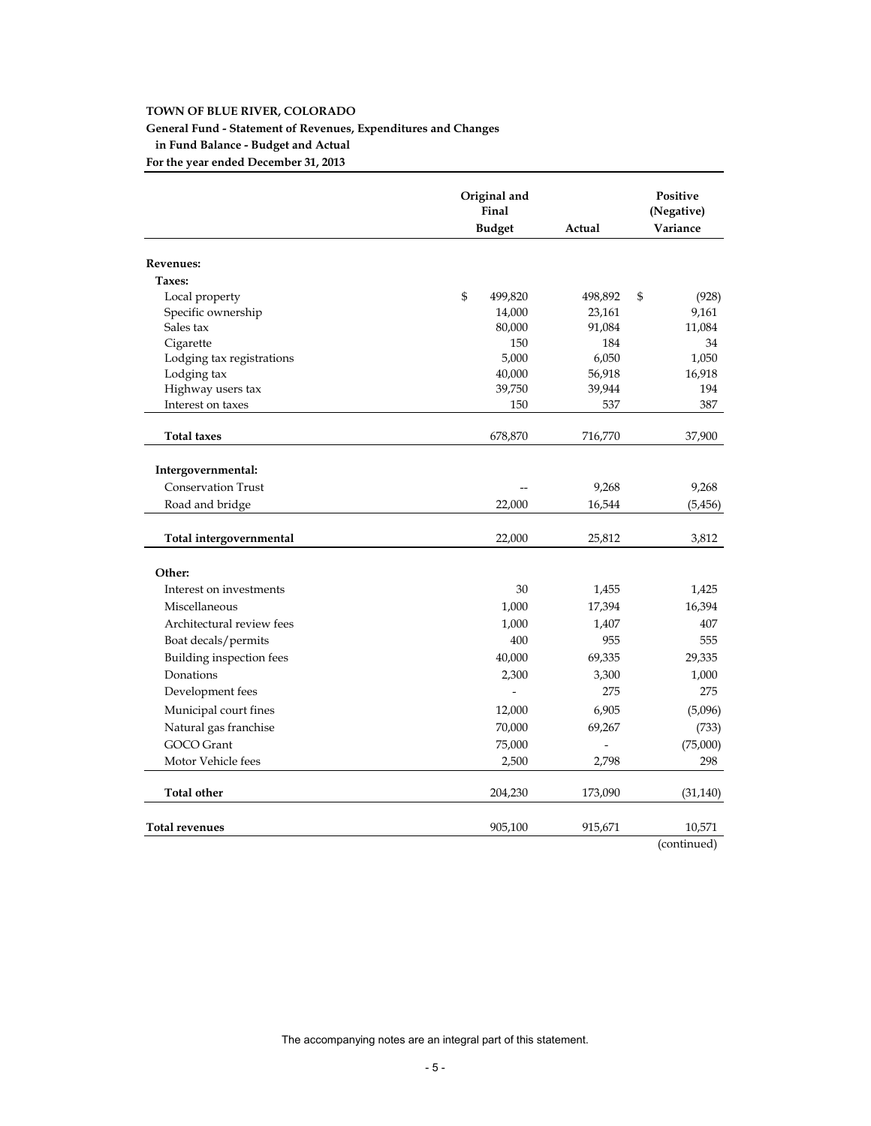# **General Fund - Statement of Revenues, Expenditures and Changes**

**in Fund Balance - Budget and Actual**

**For the year ended December 31, 2013**

|                           | Original and<br>Final   |         |             |
|---------------------------|-------------------------|---------|-------------|
|                           | <b>Budget</b>           | Actual  | Variance    |
| <b>Revenues:</b>          |                         |         |             |
| Taxes:                    |                         |         |             |
| Local property            | $\mathbb{S}$<br>499,820 | 498,892 | \$<br>(928) |
| Specific ownership        | 14,000                  | 23,161  | 9,161       |
| Sales tax                 | 80,000                  | 91,084  | 11,084      |
| Cigarette                 | 150                     | 184     | 34          |
| Lodging tax registrations | 5,000                   | 6,050   | 1,050       |
| Lodging tax               | 40,000                  | 56,918  | 16,918      |
| Highway users tax         | 39,750                  | 39,944  | 194         |
| Interest on taxes         | 150                     | 537     | 387         |
| <b>Total taxes</b>        | 678,870                 | 716,770 | 37,900      |
|                           |                         |         |             |
| Intergovernmental:        |                         |         |             |
| <b>Conservation Trust</b> |                         | 9,268   | 9,268       |
| Road and bridge           | 22,000                  | 16,544  | (5,456)     |
|                           |                         |         |             |
| Total intergovernmental   | 22,000                  | 25,812  | 3,812       |
| Other:                    |                         |         |             |
| Interest on investments   | 30                      |         |             |
|                           |                         | 1,455   | 1,425       |
| Miscellaneous             | 1,000                   | 17,394  | 16,394      |
| Architectural review fees | 1,000                   | 1,407   | 407         |
| Boat decals/permits       | 400                     | 955     | 555         |
| Building inspection fees  | 40,000                  | 69,335  | 29,335      |
| Donations                 | 2,300                   | 3,300   | 1,000       |
| Development fees          |                         | 275     | 275         |
| Municipal court fines     | 12,000                  | 6,905   | (5,096)     |
| Natural gas franchise     | 70,000                  | 69,267  | (733)       |
| <b>GOCO</b> Grant         | 75,000                  |         | (75,000)    |
| Motor Vehicle fees        | 2,500                   | 2,798   | 298         |
| <b>Total other</b>        | 204,230                 | 173,090 | (31, 140)   |
| <b>Total revenues</b>     | 905,100                 | 915,671 | 10,571      |
|                           |                         |         |             |

(continued)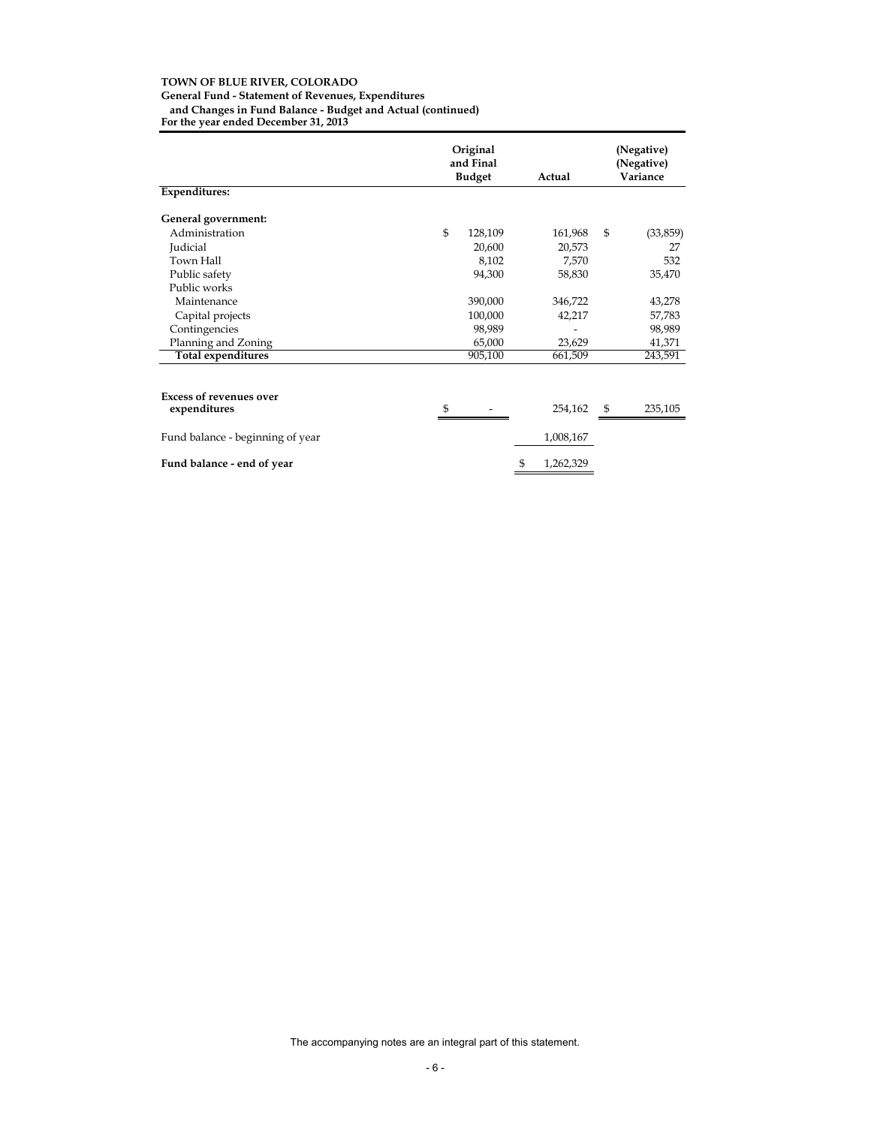**General Fund - Statement of Revenues, Expenditures**

**and Changes in Fund Balance - Budget and Actual (continued)** 

**For the year ended December 31, 2013**

|                                  | Original<br>and Final<br><b>Budget</b> | Actual          | (Negative)<br>(Negative)<br>Variance |  |
|----------------------------------|----------------------------------------|-----------------|--------------------------------------|--|
| <b>Expenditures:</b>             |                                        |                 |                                      |  |
| General government:              |                                        |                 |                                      |  |
| Administration                   | $\mathfrak{S}$<br>128,109              | 161,968         | $\mathfrak{S}$<br>(33,859)           |  |
| Judicial                         | 20,600                                 | 20,573          | 27                                   |  |
| Town Hall                        | 8,102                                  | 7,570           | 532                                  |  |
| Public safety                    | 94,300                                 | 58,830          | 35,470                               |  |
| Public works                     |                                        |                 |                                      |  |
| Maintenance                      | 390,000                                | 346,722         | 43,278                               |  |
| Capital projects                 | 100,000                                | 42,217          | 57,783                               |  |
| Contingencies                    | 98,989                                 |                 | 98,989                               |  |
| Planning and Zoning              | 65,000                                 | 23,629          | 41,371                               |  |
| <b>Total expenditures</b>        | 905,100                                | 661,509         | 243,591                              |  |
|                                  |                                        |                 |                                      |  |
| <b>Excess of revenues over</b>   |                                        |                 |                                      |  |
| expenditures                     | S                                      | 254,162         | 235,105<br>$\$\$                     |  |
| Fund balance - beginning of year |                                        | 1,008,167       |                                      |  |
| Fund balance - end of year       |                                        | \$<br>1,262,329 |                                      |  |

The accompanying notes are an integral part of this statement.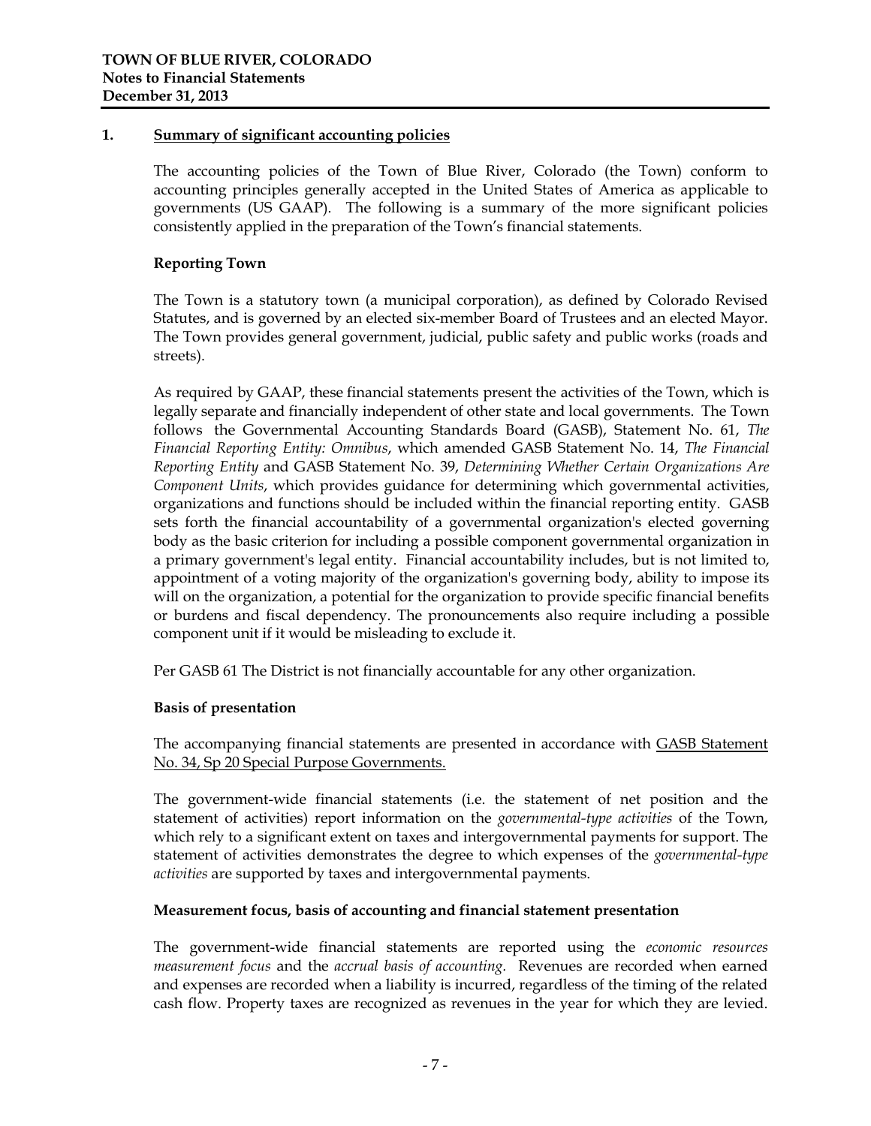# **1. Summary of significant accounting policies**

The accounting policies of the Town of Blue River, Colorado (the Town) conform to accounting principles generally accepted in the United States of America as applicable to governments (US GAAP). The following is a summary of the more significant policies consistently applied in the preparation of the Town's financial statements.

# **Reporting Town**

The Town is a statutory town (a municipal corporation), as defined by Colorado Revised Statutes, and is governed by an elected six-member Board of Trustees and an elected Mayor. The Town provides general government, judicial, public safety and public works (roads and streets).

As required by GAAP, these financial statements present the activities of the Town, which is legally separate and financially independent of other state and local governments. The Town follows the Governmental Accounting Standards Board (GASB), Statement No. 61, *The Financial Reporting Entity: Omnibus*, which amended GASB Statement No. 14, *The Financial Reporting Entity* and GASB Statement No. 39, *Determining Whether Certain Organizations Are Component Units*, which provides guidance for determining which governmental activities, organizations and functions should be included within the financial reporting entity. GASB sets forth the financial accountability of a governmental organization's elected governing body as the basic criterion for including a possible component governmental organization in a primary government's legal entity. Financial accountability includes, but is not limited to, appointment of a voting majority of the organization's governing body, ability to impose its will on the organization, a potential for the organization to provide specific financial benefits or burdens and fiscal dependency. The pronouncements also require including a possible component unit if it would be misleading to exclude it.

Per GASB 61 The District is not financially accountable for any other organization.

#### **Basis of presentation**

The accompanying financial statements are presented in accordance with GASB Statement No. 34, Sp 20 Special Purpose Governments.

The government-wide financial statements (i.e. the statement of net position and the statement of activities) report information on the *governmental-type activities* of the Town, which rely to a significant extent on taxes and intergovernmental payments for support. The statement of activities demonstrates the degree to which expenses of the *governmental-type activities* are supported by taxes and intergovernmental payments.

# **Measurement focus, basis of accounting and financial statement presentation**

The government-wide financial statements are reported using the *economic resources measurement focus* and the *accrual basis of accounting.* Revenues are recorded when earned and expenses are recorded when a liability is incurred, regardless of the timing of the related cash flow. Property taxes are recognized as revenues in the year for which they are levied.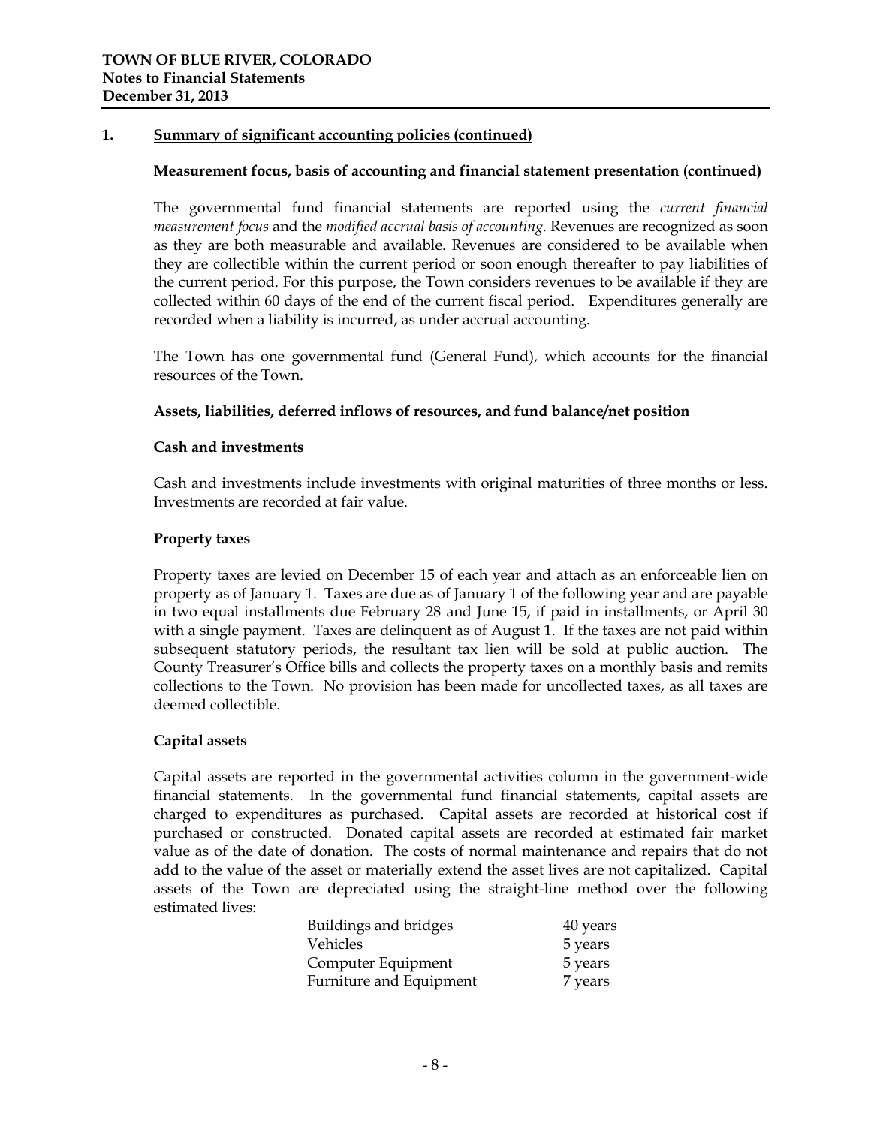# **1. Summary of significant accounting policies (continued)**

#### **Measurement focus, basis of accounting and financial statement presentation (continued)**

The governmental fund financial statements are reported using the *current financial measurement focus* and the *modified accrual basis of accounting.* Revenues are recognized as soon as they are both measurable and available. Revenues are considered to be available when they are collectible within the current period or soon enough thereafter to pay liabilities of the current period. For this purpose, the Town considers revenues to be available if they are collected within 60 days of the end of the current fiscal period. Expenditures generally are recorded when a liability is incurred, as under accrual accounting.

The Town has one governmental fund (General Fund), which accounts for the financial resources of the Town.

#### **Assets, liabilities, deferred inflows of resources, and fund balance/net position**

#### **Cash and investments**

Cash and investments include investments with original maturities of three months or less. Investments are recorded at fair value.

### **Property taxes**

Property taxes are levied on December 15 of each year and attach as an enforceable lien on property as of January 1. Taxes are due as of January 1 of the following year and are payable in two equal installments due February 28 and June 15, if paid in installments, or April 30 with a single payment. Taxes are delinquent as of August 1. If the taxes are not paid within subsequent statutory periods, the resultant tax lien will be sold at public auction. The County Treasurer's Office bills and collects the property taxes on a monthly basis and remits collections to the Town. No provision has been made for uncollected taxes, as all taxes are deemed collectible.

#### **Capital assets**

Capital assets are reported in the governmental activities column in the government-wide financial statements. In the governmental fund financial statements, capital assets are charged to expenditures as purchased. Capital assets are recorded at historical cost if purchased or constructed. Donated capital assets are recorded at estimated fair market value as of the date of donation. The costs of normal maintenance and repairs that do not add to the value of the asset or materially extend the asset lives are not capitalized. Capital assets of the Town are depreciated using the straight-line method over the following estimated lives:

| Buildings and bridges   | 40 years |
|-------------------------|----------|
| Vehicles                | 5 years  |
| Computer Equipment      | 5 years  |
| Furniture and Equipment | 7 years  |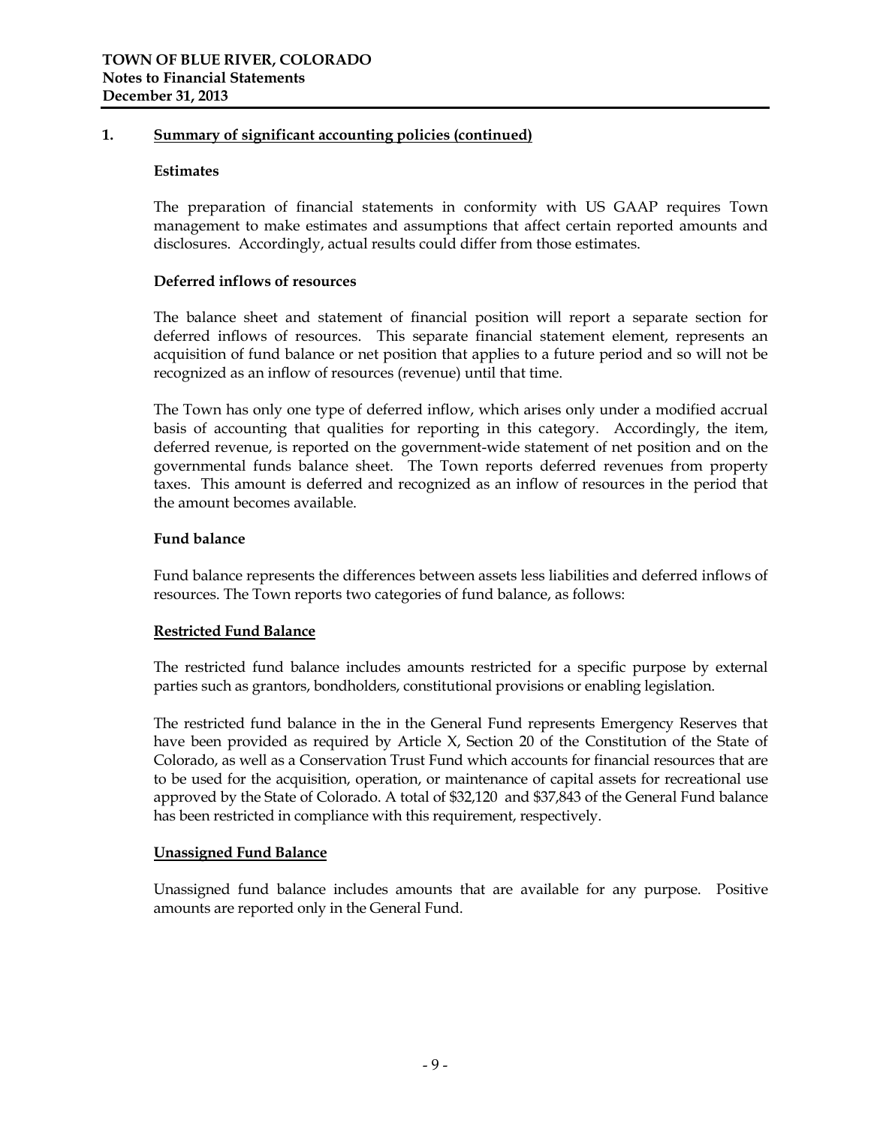# **1. Summary of significant accounting policies (continued)**

#### **Estimates**

The preparation of financial statements in conformity with US GAAP requires Town management to make estimates and assumptions that affect certain reported amounts and disclosures. Accordingly, actual results could differ from those estimates.

#### **Deferred inflows of resources**

The balance sheet and statement of financial position will report a separate section for deferred inflows of resources. This separate financial statement element, represents an acquisition of fund balance or net position that applies to a future period and so will not be recognized as an inflow of resources (revenue) until that time.

The Town has only one type of deferred inflow, which arises only under a modified accrual basis of accounting that qualities for reporting in this category. Accordingly, the item, deferred revenue, is reported on the government-wide statement of net position and on the governmental funds balance sheet. The Town reports deferred revenues from property taxes. This amount is deferred and recognized as an inflow of resources in the period that the amount becomes available.

# **Fund balance**

Fund balance represents the differences between assets less liabilities and deferred inflows of resources. The Town reports two categories of fund balance, as follows:

# **Restricted Fund Balance**

The restricted fund balance includes amounts restricted for a specific purpose by external parties such as grantors, bondholders, constitutional provisions or enabling legislation.

The restricted fund balance in the in the General Fund represents Emergency Reserves that have been provided as required by Article X, Section 20 of the Constitution of the State of Colorado, as well as a Conservation Trust Fund which accounts for financial resources that are to be used for the acquisition, operation, or maintenance of capital assets for recreational use approved by the State of Colorado. A total of \$32,120 and \$37,843 of the General Fund balance has been restricted in compliance with this requirement, respectively.

# **Unassigned Fund Balance**

Unassigned fund balance includes amounts that are available for any purpose. Positive amounts are reported only in the General Fund.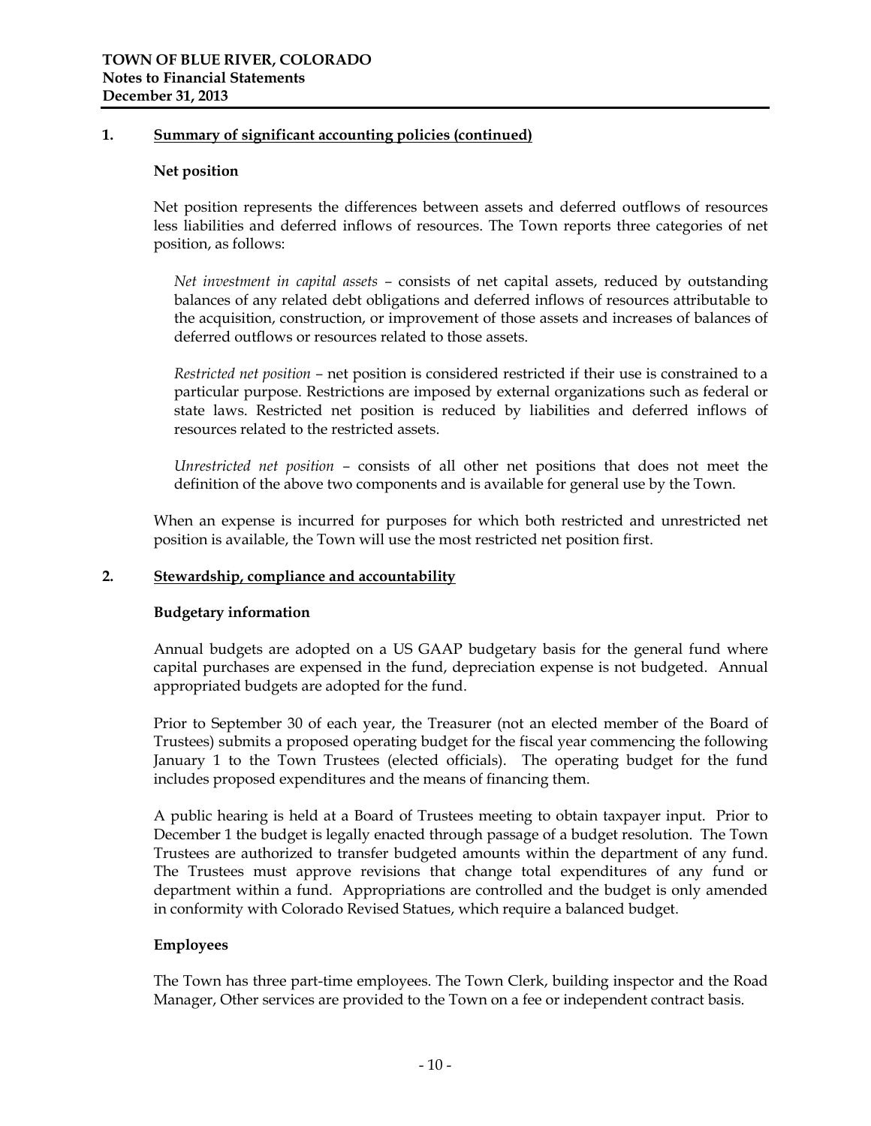### **1. Summary of significant accounting policies (continued)**

#### **Net position**

Net position represents the differences between assets and deferred outflows of resources less liabilities and deferred inflows of resources. The Town reports three categories of net position, as follows:

*Net investment in capital assets –* consists of net capital assets, reduced by outstanding balances of any related debt obligations and deferred inflows of resources attributable to the acquisition, construction, or improvement of those assets and increases of balances of deferred outflows or resources related to those assets.

*Restricted net position –* net position is considered restricted if their use is constrained to a particular purpose. Restrictions are imposed by external organizations such as federal or state laws. Restricted net position is reduced by liabilities and deferred inflows of resources related to the restricted assets.

*Unrestricted net position –* consists of all other net positions that does not meet the definition of the above two components and is available for general use by the Town.

When an expense is incurred for purposes for which both restricted and unrestricted net position is available, the Town will use the most restricted net position first.

# **2. Stewardship, compliance and accountability**

#### **Budgetary information**

Annual budgets are adopted on a US GAAP budgetary basis for the general fund where capital purchases are expensed in the fund, depreciation expense is not budgeted. Annual appropriated budgets are adopted for the fund.

Prior to September 30 of each year, the Treasurer (not an elected member of the Board of Trustees) submits a proposed operating budget for the fiscal year commencing the following January 1 to the Town Trustees (elected officials). The operating budget for the fund includes proposed expenditures and the means of financing them.

A public hearing is held at a Board of Trustees meeting to obtain taxpayer input. Prior to December 1 the budget is legally enacted through passage of a budget resolution. The Town Trustees are authorized to transfer budgeted amounts within the department of any fund. The Trustees must approve revisions that change total expenditures of any fund or department within a fund. Appropriations are controlled and the budget is only amended in conformity with Colorado Revised Statues, which require a balanced budget.

# **Employees**

The Town has three part-time employees. The Town Clerk, building inspector and the Road Manager, Other services are provided to the Town on a fee or independent contract basis.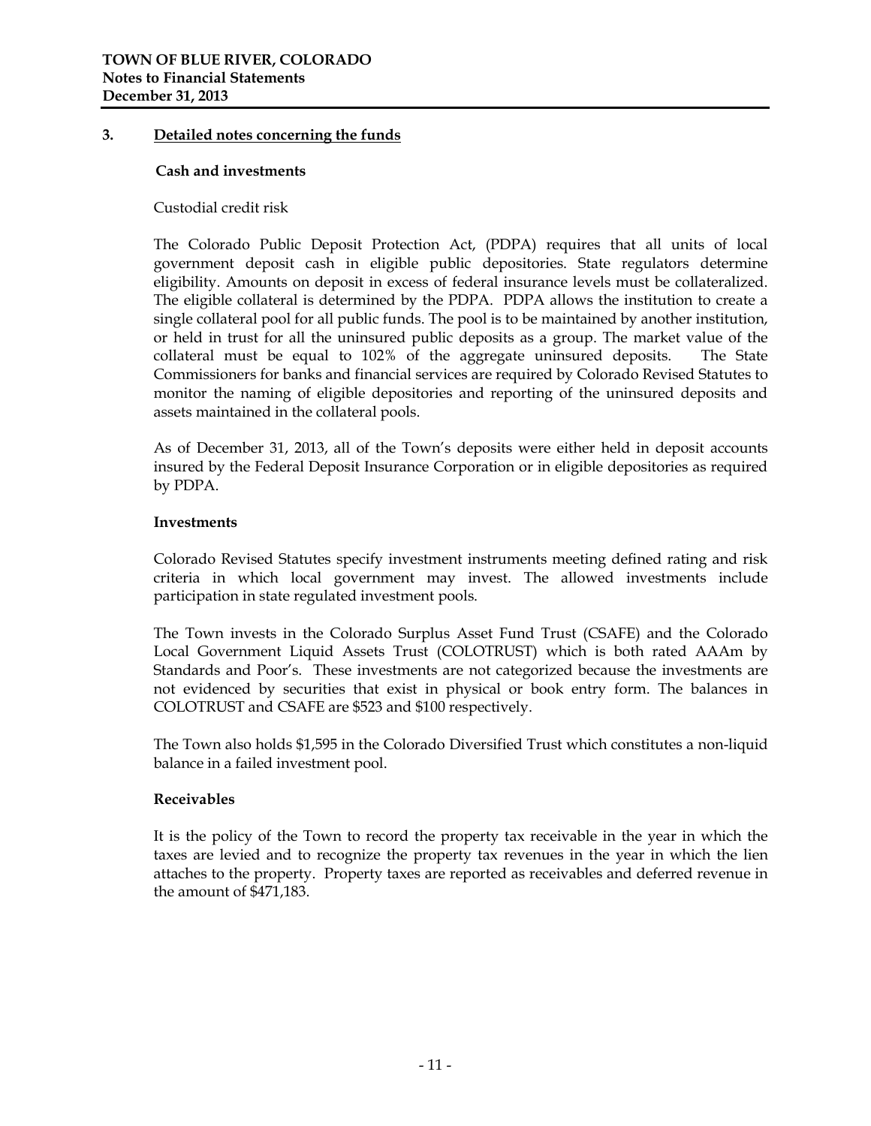### **3. Detailed notes concerning the funds**

#### **Cash and investments**

Custodial credit risk

The Colorado Public Deposit Protection Act, (PDPA) requires that all units of local government deposit cash in eligible public depositories. State regulators determine eligibility. Amounts on deposit in excess of federal insurance levels must be collateralized. The eligible collateral is determined by the PDPA. PDPA allows the institution to create a single collateral pool for all public funds. The pool is to be maintained by another institution, or held in trust for all the uninsured public deposits as a group. The market value of the collateral must be equal to 102% of the aggregate uninsured deposits. The State Commissioners for banks and financial services are required by Colorado Revised Statutes to monitor the naming of eligible depositories and reporting of the uninsured deposits and assets maintained in the collateral pools.

As of December 31, 2013, all of the Town's deposits were either held in deposit accounts insured by the Federal Deposit Insurance Corporation or in eligible depositories as required by PDPA.

#### **Investments**

Colorado Revised Statutes specify investment instruments meeting defined rating and risk criteria in which local government may invest. The allowed investments include participation in state regulated investment pools.

The Town invests in the Colorado Surplus Asset Fund Trust (CSAFE) and the Colorado Local Government Liquid Assets Trust (COLOTRUST) which is both rated AAAm by Standards and Poor's. These investments are not categorized because the investments are not evidenced by securities that exist in physical or book entry form. The balances in COLOTRUST and CSAFE are \$523 and \$100 respectively.

The Town also holds \$1,595 in the Colorado Diversified Trust which constitutes a non-liquid balance in a failed investment pool.

# **Receivables**

It is the policy of the Town to record the property tax receivable in the year in which the taxes are levied and to recognize the property tax revenues in the year in which the lien attaches to the property. Property taxes are reported as receivables and deferred revenue in the amount of \$471,183.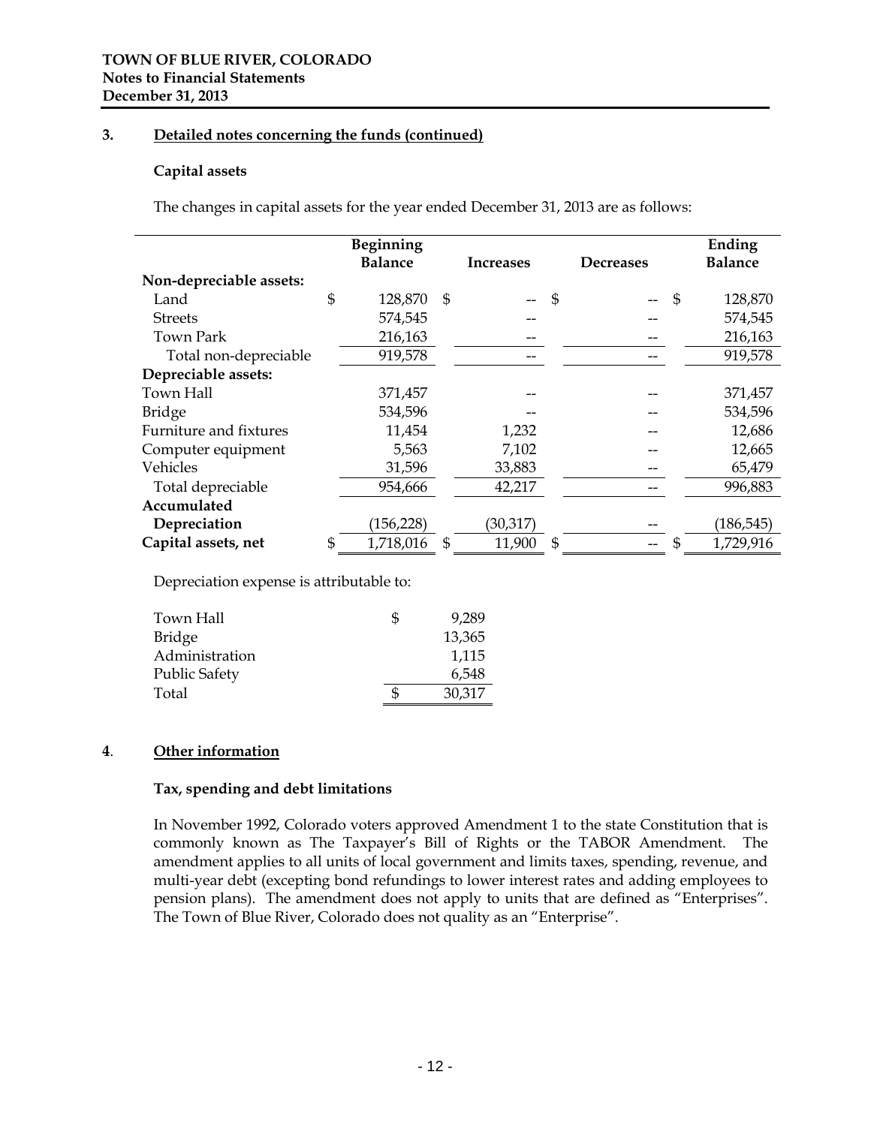# **3. Detailed notes concerning the funds (continued)**

#### **Capital assets**

The changes in capital assets for the year ended December 31, 2013 are as follows:

|                         | Beginning       |                |           |                |                  |                | Ending         |
|-------------------------|-----------------|----------------|-----------|----------------|------------------|----------------|----------------|
|                         | <b>Balance</b>  |                | Increases |                | <b>Decreases</b> |                | <b>Balance</b> |
| Non-depreciable assets: |                 |                |           |                |                  |                |                |
| Land                    | \$<br>128,870   | $\mathfrak{s}$ |           | $\mathfrak{s}$ |                  | $\mathfrak{s}$ | 128,870        |
| <b>Streets</b>          | 574,545         |                |           |                |                  |                | 574,545        |
| <b>Town Park</b>        | 216,163         |                |           |                |                  |                | 216,163        |
| Total non-depreciable   | 919,578         |                |           |                |                  |                | 919,578        |
| Depreciable assets:     |                 |                |           |                |                  |                |                |
| Town Hall               | 371,457         |                |           |                |                  |                | 371,457        |
| <b>Bridge</b>           | 534,596         |                |           |                |                  |                | 534,596        |
| Furniture and fixtures  | 11,454          |                | 1,232     |                |                  |                | 12,686         |
| Computer equipment      | 5,563           |                | 7,102     |                |                  |                | 12,665         |
| Vehicles                | 31,596          |                | 33,883    |                |                  |                | 65,479         |
| Total depreciable       | 954,666         |                | 42,217    |                |                  |                | 996,883        |
| Accumulated             |                 |                |           |                |                  |                |                |
| Depreciation            | (156, 228)      |                | (30, 317) |                |                  |                | (186, 545)     |
| Capital assets, net     | \$<br>1,718,016 | \$             | 11,900    | \$             |                  | S              | 1,729,916      |

Depreciation expense is attributable to:

| Town Hall      | Ъ | 9,289  |
|----------------|---|--------|
| Bridge         |   | 13,365 |
| Administration |   | 1,115  |
| Public Safety  |   | 6,548  |
| Total          |   | 30,317 |
|                |   |        |

# **4**. **Other information**

#### **Tax, spending and debt limitations**

In November 1992, Colorado voters approved Amendment 1 to the state Constitution that is commonly known as The Taxpayer's Bill of Rights or the TABOR Amendment. The amendment applies to all units of local government and limits taxes, spending, revenue, and multi-year debt (excepting bond refundings to lower interest rates and adding employees to pension plans). The amendment does not apply to units that are defined as "Enterprises". The Town of Blue River, Colorado does not quality as an "Enterprise".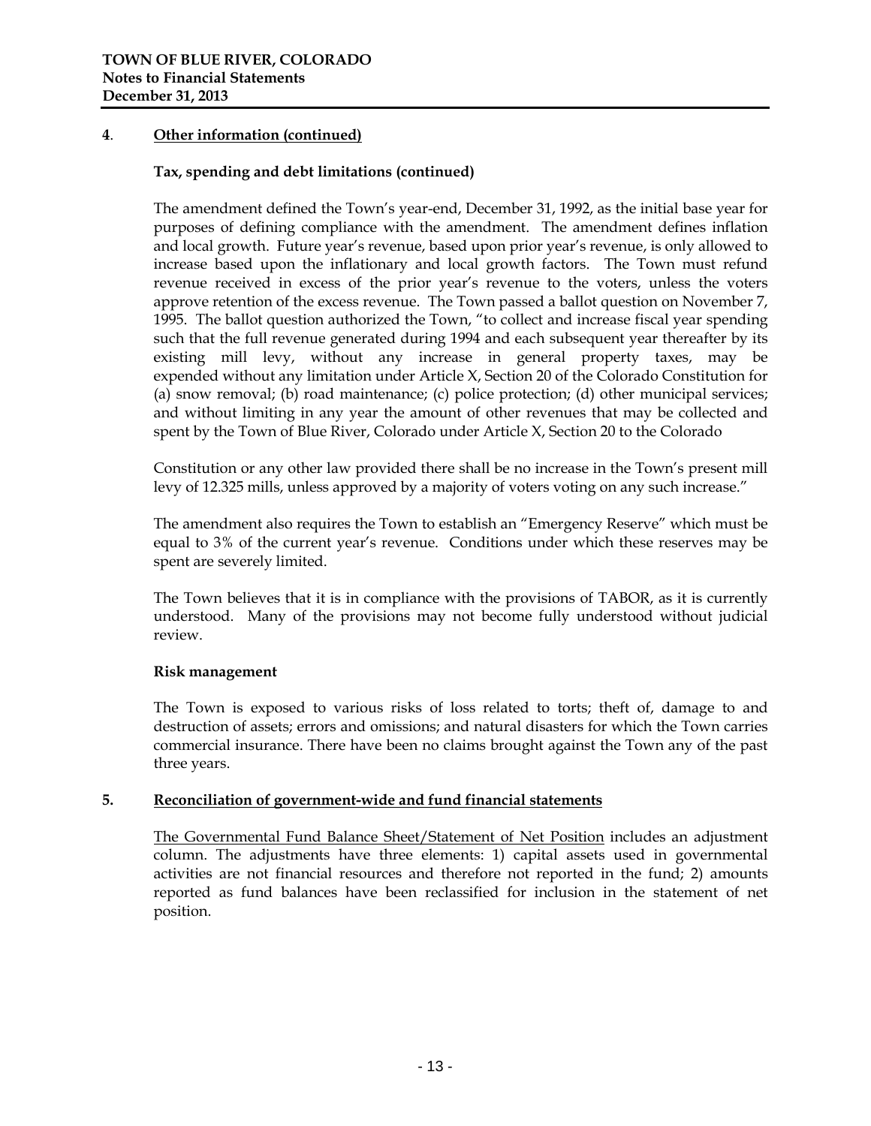# **4**. **Other information (continued)**

# **Tax, spending and debt limitations (continued)**

The amendment defined the Town's year-end, December 31, 1992, as the initial base year for purposes of defining compliance with the amendment. The amendment defines inflation and local growth. Future year's revenue, based upon prior year's revenue, is only allowed to increase based upon the inflationary and local growth factors. The Town must refund revenue received in excess of the prior year's revenue to the voters, unless the voters approve retention of the excess revenue. The Town passed a ballot question on November 7, 1995. The ballot question authorized the Town, "to collect and increase fiscal year spending such that the full revenue generated during 1994 and each subsequent year thereafter by its existing mill levy, without any increase in general property taxes, may be expended without any limitation under Article X, Section 20 of the Colorado Constitution for (a) snow removal; (b) road maintenance; (c) police protection; (d) other municipal services; and without limiting in any year the amount of other revenues that may be collected and spent by the Town of Blue River, Colorado under Article X, Section 20 to the Colorado

Constitution or any other law provided there shall be no increase in the Town's present mill levy of 12.325 mills, unless approved by a majority of voters voting on any such increase."

The amendment also requires the Town to establish an "Emergency Reserve" which must be equal to 3% of the current year's revenue. Conditions under which these reserves may be spent are severely limited.

The Town believes that it is in compliance with the provisions of TABOR, as it is currently understood. Many of the provisions may not become fully understood without judicial review.

# **Risk management**

The Town is exposed to various risks of loss related to torts; theft of, damage to and destruction of assets; errors and omissions; and natural disasters for which the Town carries commercial insurance. There have been no claims brought against the Town any of the past three years.

#### **5. Reconciliation of government-wide and fund financial statements**

The Governmental Fund Balance Sheet/Statement of Net Position includes an adjustment column. The adjustments have three elements: 1) capital assets used in governmental activities are not financial resources and therefore not reported in the fund; 2) amounts reported as fund balances have been reclassified for inclusion in the statement of net position.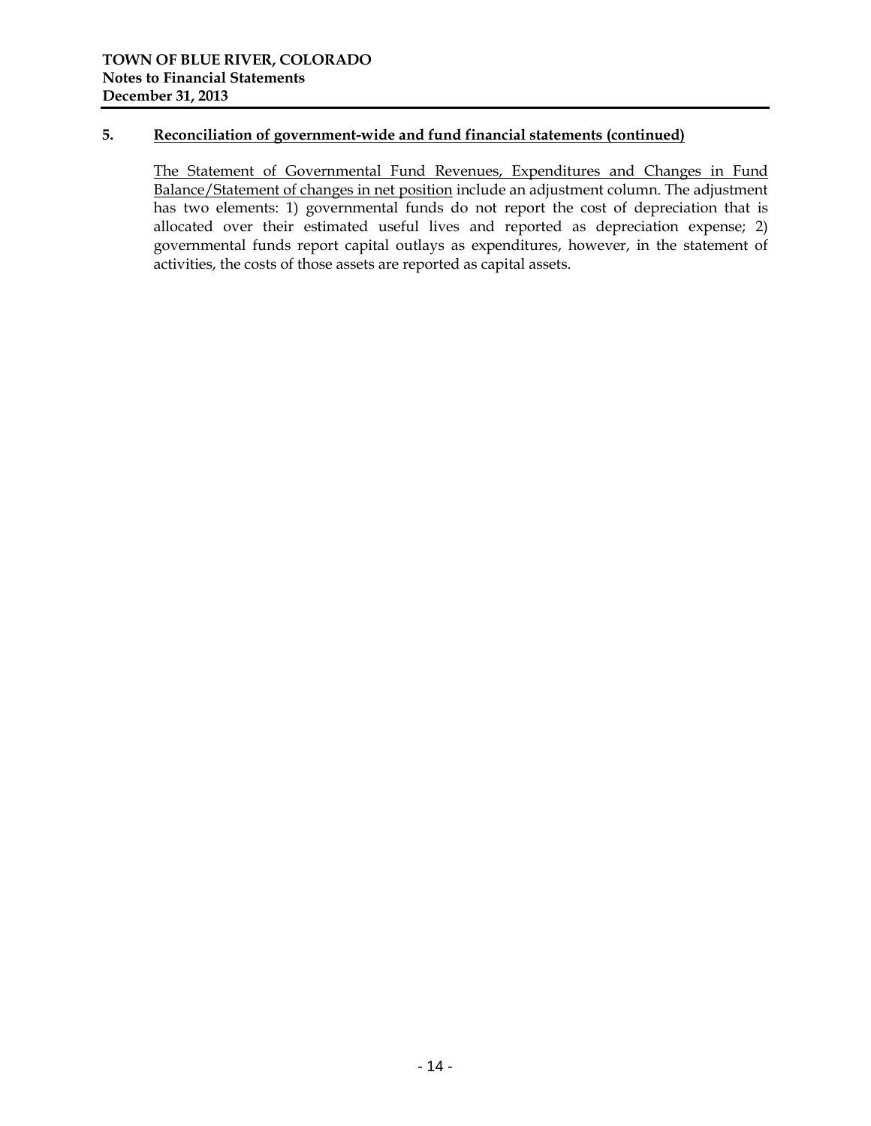# **5. Reconciliation of government-wide and fund financial statements (continued)**

The Statement of Governmental Fund Revenues, Expenditures and Changes in Fund Balance/Statement of changes in net position include an adjustment column. The adjustment has two elements: 1) governmental funds do not report the cost of depreciation that is allocated over their estimated useful lives and reported as depreciation expense; 2) governmental funds report capital outlays as expenditures, however, in the statement of activities, the costs of those assets are reported as capital assets.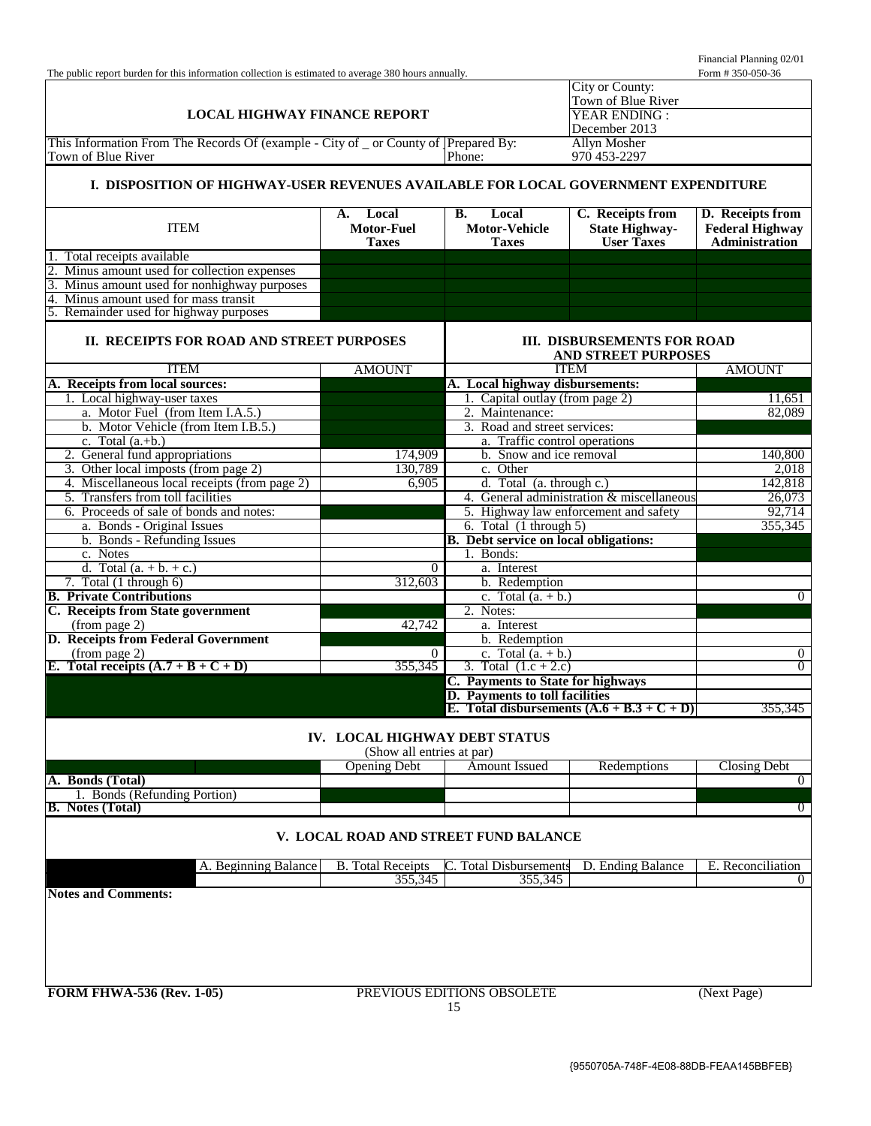Financial Planning 02/01<br>Form # 350-050-36

| The public report burden for this information collection is estimated to average 380 hours annually.        |                               |                                                             |                                                                  | Form #350-050-36           |  |
|-------------------------------------------------------------------------------------------------------------|-------------------------------|-------------------------------------------------------------|------------------------------------------------------------------|----------------------------|--|
|                                                                                                             |                               |                                                             | City or County:                                                  |                            |  |
|                                                                                                             |                               |                                                             | Town of Blue River                                               |                            |  |
| <b>LOCAL HIGHWAY FINANCE REPORT</b>                                                                         |                               |                                                             | YEAR ENDING:<br>December 2013                                    |                            |  |
| This Information From The Records Of (example - City of _ or County of ]Prepared By:<br><b>Allyn Mosher</b> |                               |                                                             |                                                                  |                            |  |
| Phone:<br>970 453-2297<br>Town of Blue River                                                                |                               |                                                             |                                                                  |                            |  |
| I. DISPOSITION OF HIGHWAY-USER REVENUES AVAILABLE FOR LOCAL GOVERNMENT EXPENDITURE                          |                               |                                                             |                                                                  |                            |  |
|                                                                                                             |                               |                                                             |                                                                  |                            |  |
|                                                                                                             | Local<br>A.                   | Local<br><b>B.</b>                                          | C. Receipts from                                                 | D. Receipts from           |  |
| <b>ITEM</b>                                                                                                 | <b>Motor-Fuel</b>             | <b>Motor-Vehicle</b>                                        | <b>State Highway-</b>                                            | <b>Federal Highway</b>     |  |
|                                                                                                             | <b>Taxes</b>                  | <b>Taxes</b>                                                | <b>User Taxes</b>                                                | <b>Administration</b>      |  |
| 1. Total receipts available<br>2. Minus amount used for collection expenses                                 |                               |                                                             |                                                                  |                            |  |
| 3. Minus amount used for nonhighway purposes                                                                |                               |                                                             |                                                                  |                            |  |
| 4. Minus amount used for mass transit                                                                       |                               |                                                             |                                                                  |                            |  |
| 5. Remainder used for highway purposes                                                                      |                               |                                                             |                                                                  |                            |  |
|                                                                                                             |                               |                                                             |                                                                  |                            |  |
| II. RECEIPTS FOR ROAD AND STREET PURPOSES                                                                   |                               |                                                             | <b>III. DISBURSEMENTS FOR ROAD</b><br><b>AND STREET PURPOSES</b> |                            |  |
| <b>ITEM</b>                                                                                                 | <b>AMOUNT</b>                 |                                                             | <b>ITEM</b>                                                      | <b>AMOUNT</b>              |  |
| A. Receipts from local sources:                                                                             |                               | A. Local highway disbursements:                             |                                                                  |                            |  |
| 1. Local highway-user taxes                                                                                 |                               | 1. Capital outlay (from page 2)                             |                                                                  | 11,651                     |  |
| a. Motor Fuel (from Item I.A.5.)                                                                            |                               | 2. Maintenance:                                             |                                                                  | 82,089                     |  |
| b. Motor Vehicle (from Item I.B.5.)                                                                         |                               | 3. Road and street services:                                |                                                                  |                            |  |
| c. Total $(a.+b.)$                                                                                          |                               | a. Traffic control operations                               |                                                                  |                            |  |
| 2. General fund appropriations                                                                              | 174,909                       | b. Snow and ice removal                                     |                                                                  | 140,800                    |  |
| 3. Other local imposts (from page 2)                                                                        | 130,789                       | c. Other                                                    |                                                                  | 2,018                      |  |
| 4. Miscellaneous local receipts (from page 2)<br>5. Transfers from toll facilities                          | 6,905                         | d. Total (a. through c.)                                    | 4. General administration & miscellaneous                        | 142,818<br>26,073          |  |
| 6. Proceeds of sale of bonds and notes:                                                                     |                               |                                                             | 5. Highway law enforcement and safety                            | 92,714                     |  |
| a. Bonds - Original Issues                                                                                  |                               | 6. Total $(1$ through 5)                                    |                                                                  | 355,345                    |  |
| b. Bonds - Refunding Issues                                                                                 |                               | <b>B.</b> Debt service on local obligations:                |                                                                  |                            |  |
| c. Notes                                                                                                    |                               | 1. Bonds:                                                   |                                                                  |                            |  |
| d. Total $(a. + b. + c.)$                                                                                   | $\theta$                      | a. Interest                                                 |                                                                  |                            |  |
| 7. Total $(1$ through $6)$                                                                                  | 312,603                       | b. Redemption                                               |                                                                  |                            |  |
| <b>B.</b> Private Contributions                                                                             |                               | c. Total $(a. + b.)$                                        |                                                                  | $\Omega$                   |  |
| C. Receipts from State government                                                                           |                               | 2. Notes:                                                   |                                                                  |                            |  |
| (from page 2)                                                                                               | 42,742                        | a. Interest                                                 |                                                                  |                            |  |
| D. Receipts from Federal Government                                                                         |                               | b. Redemption                                               |                                                                  |                            |  |
| (from page 2)                                                                                               | $\overline{0}$                | c. Total $(a. + b.)$                                        |                                                                  | $\overline{0}$<br>$\Omega$ |  |
| E. Total receipts $(A.7 + B + C + D)$                                                                       | 355,345                       | 3. Total $(1.c + 2.c)$<br>C. Payments to State for highways |                                                                  |                            |  |
|                                                                                                             |                               | D. Payments to toll facilities                              |                                                                  |                            |  |
|                                                                                                             |                               |                                                             | E. Total disbursements $(A.6 + B.3 + C + D)$                     | 355,345                    |  |
|                                                                                                             | IV. LOCAL HIGHWAY DEBT STATUS |                                                             |                                                                  |                            |  |
|                                                                                                             | (Show all entries at par)     |                                                             |                                                                  |                            |  |
|                                                                                                             | <b>Opening Debt</b>           | Amount Issued                                               | Redemptions                                                      | <b>Closing Debt</b>        |  |
| A. Bonds (Total)<br>1. Bonds (Refunding Portion)                                                            |                               |                                                             |                                                                  | $\overline{0}$             |  |
| <b>B.</b> Notes (Total)                                                                                     |                               |                                                             |                                                                  | $\overline{0}$             |  |
|                                                                                                             |                               |                                                             |                                                                  |                            |  |
|                                                                                                             |                               | V. LOCAL ROAD AND STREET FUND BALANCE                       |                                                                  |                            |  |
| A. Beginning Balance<br>C. Total Disbursements<br>D. Ending Balance<br><b>B.</b> Total Receipts             |                               |                                                             |                                                                  |                            |  |
|                                                                                                             | 355,345                       | 355,345                                                     |                                                                  | $\overline{0}$             |  |
| <b>Notes and Comments:</b>                                                                                  |                               |                                                             |                                                                  |                            |  |
|                                                                                                             |                               |                                                             |                                                                  |                            |  |
|                                                                                                             |                               |                                                             |                                                                  |                            |  |
|                                                                                                             |                               |                                                             |                                                                  |                            |  |
|                                                                                                             |                               |                                                             |                                                                  |                            |  |
| <b>FORM FHWA-536 (Rev. 1-05)</b>                                                                            |                               | PREVIOUS EDITIONS OBSOLETE                                  |                                                                  | (Next Page)                |  |